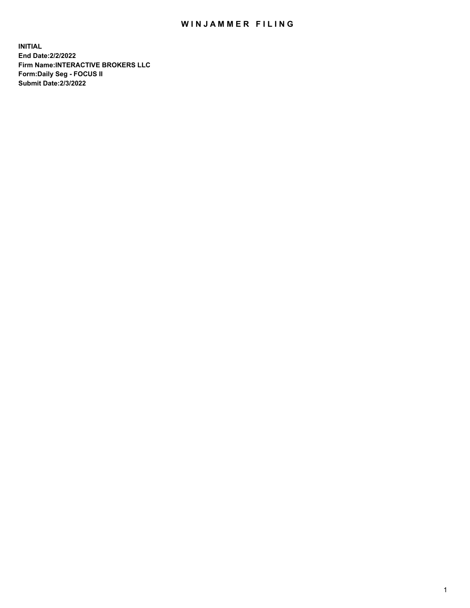## WIN JAMMER FILING

**INITIAL End Date:2/2/2022 Firm Name:INTERACTIVE BROKERS LLC Form:Daily Seg - FOCUS II Submit Date:2/3/2022**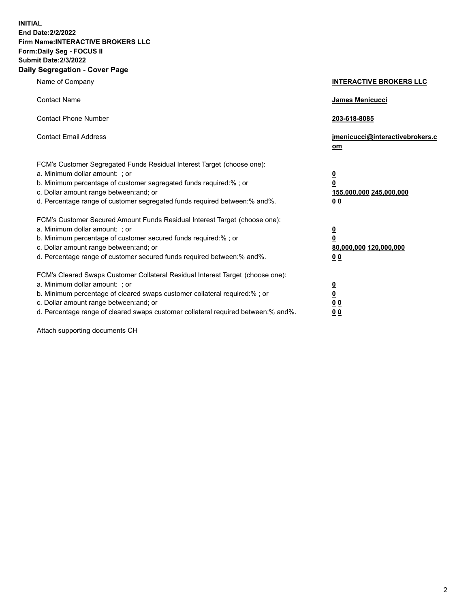**INITIAL End Date:2/2/2022 Firm Name:INTERACTIVE BROKERS LLC Form:Daily Seg - FOCUS II Submit Date:2/3/2022 Daily Segregation - Cover Page**

| Name of Company                                                                                                                                                                                                                                                                                                               | <b>INTERACTIVE BROKERS LLC</b>                                                             |
|-------------------------------------------------------------------------------------------------------------------------------------------------------------------------------------------------------------------------------------------------------------------------------------------------------------------------------|--------------------------------------------------------------------------------------------|
| <b>Contact Name</b>                                                                                                                                                                                                                                                                                                           | <b>James Menicucci</b>                                                                     |
| <b>Contact Phone Number</b>                                                                                                                                                                                                                                                                                                   | 203-618-8085                                                                               |
| <b>Contact Email Address</b>                                                                                                                                                                                                                                                                                                  | jmenicucci@interactivebrokers.c<br>om                                                      |
| FCM's Customer Segregated Funds Residual Interest Target (choose one):<br>a. Minimum dollar amount: ; or<br>b. Minimum percentage of customer segregated funds required:% ; or<br>c. Dollar amount range between: and; or<br>d. Percentage range of customer segregated funds required between:% and%.                        | $\overline{\mathbf{0}}$<br>$\overline{\mathbf{0}}$<br>155,000,000 245,000,000<br><u>00</u> |
| FCM's Customer Secured Amount Funds Residual Interest Target (choose one):<br>a. Minimum dollar amount: ; or<br>b. Minimum percentage of customer secured funds required:% ; or<br>c. Dollar amount range between: and; or<br>d. Percentage range of customer secured funds required between:% and%.                          | $\overline{\mathbf{0}}$<br>$\overline{\mathbf{0}}$<br>80,000,000 120,000,000<br>00         |
| FCM's Cleared Swaps Customer Collateral Residual Interest Target (choose one):<br>a. Minimum dollar amount: ; or<br>b. Minimum percentage of cleared swaps customer collateral required:%; or<br>c. Dollar amount range between: and; or<br>d. Percentage range of cleared swaps customer collateral required between:% and%. | <u>0</u><br><u>0</u><br>0 <sub>0</sub><br>0 <sub>0</sub>                                   |

Attach supporting documents CH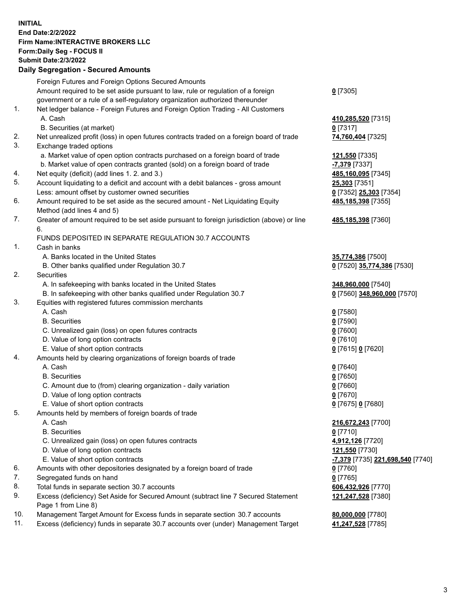**INITIAL End Date:2/2/2022 Firm Name:INTERACTIVE BROKERS LLC Form:Daily Seg - FOCUS II Submit Date:2/3/2022 Daily Segregation - Secured Amounts**

|     | Foreign Futures and Foreign Options Secured Amounts                                         |                                               |
|-----|---------------------------------------------------------------------------------------------|-----------------------------------------------|
|     | Amount required to be set aside pursuant to law, rule or regulation of a foreign            | $0$ [7305]                                    |
|     | government or a rule of a self-regulatory organization authorized thereunder                |                                               |
| 1.  | Net ledger balance - Foreign Futures and Foreign Option Trading - All Customers             |                                               |
|     | A. Cash                                                                                     | 410,285,520 [7315]                            |
|     | B. Securities (at market)                                                                   | $0$ [7317]                                    |
| 2.  | Net unrealized profit (loss) in open futures contracts traded on a foreign board of trade   | 74,760,404 [7325]                             |
| 3.  | Exchange traded options                                                                     |                                               |
|     | a. Market value of open option contracts purchased on a foreign board of trade              | 121,550 [7335]                                |
|     | b. Market value of open contracts granted (sold) on a foreign board of trade                | -7,379 [7337]                                 |
| 4.  | Net equity (deficit) (add lines 1. 2. and 3.)                                               | 485,160,095 [7345]                            |
| 5.  | Account liquidating to a deficit and account with a debit balances - gross amount           | 25,303 [7351]                                 |
|     | Less: amount offset by customer owned securities                                            | 0 [7352] 25,303 [7354]                        |
| 6.  | Amount required to be set aside as the secured amount - Net Liquidating Equity              | 485,185,398 [7355]                            |
|     | Method (add lines 4 and 5)                                                                  |                                               |
| 7.  | Greater of amount required to be set aside pursuant to foreign jurisdiction (above) or line | 485,185,398 [7360]                            |
|     | 6.                                                                                          |                                               |
|     | FUNDS DEPOSITED IN SEPARATE REGULATION 30.7 ACCOUNTS                                        |                                               |
| 1.  | Cash in banks                                                                               |                                               |
|     | A. Banks located in the United States                                                       | 35,774,386 [7500]                             |
|     | B. Other banks qualified under Regulation 30.7                                              | 0 [7520] 35,774,386 [7530]                    |
| 2.  | Securities                                                                                  |                                               |
|     | A. In safekeeping with banks located in the United States                                   | 348,960,000 [7540]                            |
|     | B. In safekeeping with other banks qualified under Regulation 30.7                          | 0 [7560] 348,960,000 [7570]                   |
| 3.  | Equities with registered futures commission merchants                                       |                                               |
|     | A. Cash                                                                                     | $0$ [7580]                                    |
|     | <b>B.</b> Securities                                                                        | $0$ [7590]                                    |
|     | C. Unrealized gain (loss) on open futures contracts                                         | $0$ [7600]                                    |
|     | D. Value of long option contracts                                                           | $0$ [7610]                                    |
|     | E. Value of short option contracts                                                          | 0 [7615] 0 [7620]                             |
| 4.  | Amounts held by clearing organizations of foreign boards of trade                           |                                               |
|     | A. Cash                                                                                     | $0$ [7640]                                    |
|     | <b>B.</b> Securities                                                                        | $0$ [7650]                                    |
|     | C. Amount due to (from) clearing organization - daily variation                             | $0$ [7660]                                    |
|     | D. Value of long option contracts                                                           | $0$ [7670]                                    |
|     | E. Value of short option contracts                                                          | 0 [7675] 0 [7680]                             |
| 5.  | Amounts held by members of foreign boards of trade                                          |                                               |
|     | A. Cash                                                                                     | 216,672,243 [7700]                            |
|     | <b>B.</b> Securities                                                                        | $0$ [7710]                                    |
|     | C. Unrealized gain (loss) on open futures contracts                                         | 4,912,126 [7720]                              |
|     | D. Value of long option contracts                                                           | 121,550 [7730]                                |
|     | E. Value of short option contracts                                                          | <mark>-7,379</mark> [7735] 221,698,540 [7740] |
| 6.  | Amounts with other depositories designated by a foreign board of trade                      | $0$ [7760]                                    |
| 7.  | Segregated funds on hand                                                                    | $0$ [7765]                                    |
| 8.  | Total funds in separate section 30.7 accounts                                               | 606,432,926 [7770]                            |
| 9.  | Excess (deficiency) Set Aside for Secured Amount (subtract line 7 Secured Statement         | 121,247,528 [7380]                            |
|     | Page 1 from Line 8)                                                                         |                                               |
| 10. | Management Target Amount for Excess funds in separate section 30.7 accounts                 | 80,000,000 [7780]                             |
| 11. | Excess (deficiency) funds in separate 30.7 accounts over (under) Management Target          | 41,247,528 [7785]                             |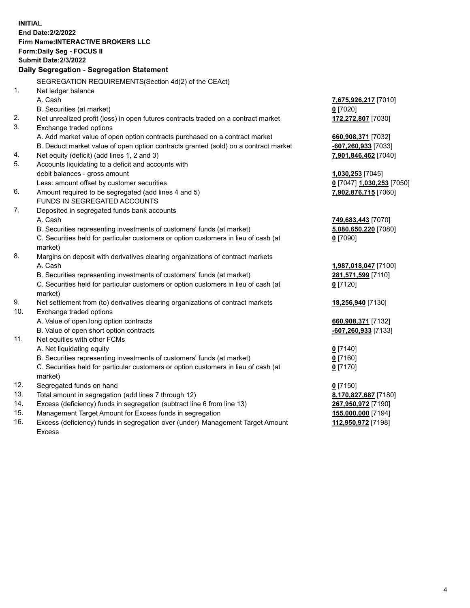**INITIAL End Date:2/2/2022 Firm Name:INTERACTIVE BROKERS LLC Form:Daily Seg - FOCUS II Submit Date:2/3/2022 Daily Segregation - Segregation Statement** SEGREGATION REQUIREMENTS(Section 4d(2) of the CEAct) 1. Net ledger balance A. Cash **7,675,926,217** [7010] B. Securities (at market) **0** [7020] 2. Net unrealized profit (loss) in open futures contracts traded on a contract market **172,272,807** [7030] 3. Exchange traded options A. Add market value of open option contracts purchased on a contract market **660,908,371** [7032] B. Deduct market value of open option contracts granted (sold) on a contract market **-607,260,933** [7033] 4. Net equity (deficit) (add lines 1, 2 and 3) **7,901,846,462** [7040] 5. Accounts liquidating to a deficit and accounts with debit balances - gross amount **1,030,253** [7045] Less: amount offset by customer securities **0** [7047] **1,030,253** [7050] 6. Amount required to be segregated (add lines 4 and 5) **7,902,876,715** [7060] FUNDS IN SEGREGATED ACCOUNTS 7. Deposited in segregated funds bank accounts A. Cash **749,683,443** [7070] B. Securities representing investments of customers' funds (at market) **5,080,650,220** [7080] C. Securities held for particular customers or option customers in lieu of cash (at market) **0** [7090] 8. Margins on deposit with derivatives clearing organizations of contract markets A. Cash **1,987,018,047** [7100] B. Securities representing investments of customers' funds (at market) **281,571,599** [7110] C. Securities held for particular customers or option customers in lieu of cash (at market) **0** [7120] 9. Net settlement from (to) derivatives clearing organizations of contract markets **18,256,940** [7130] 10. Exchange traded options A. Value of open long option contracts **660,908,371** [7132] B. Value of open short option contracts **-607,260,933** [7133] 11. Net equities with other FCMs A. Net liquidating equity **0** [7140] B. Securities representing investments of customers' funds (at market) **0** [7160] C. Securities held for particular customers or option customers in lieu of cash (at market) **0** [7170] 12. Segregated funds on hand **0** [7150] 13. Total amount in segregation (add lines 7 through 12) **8,170,827,687** [7180] 14. Excess (deficiency) funds in segregation (subtract line 6 from line 13) **267,950,972** [7190] 15. Management Target Amount for Excess funds in segregation **155,000,000** [7194]

16. Excess (deficiency) funds in segregation over (under) Management Target Amount Excess

**112,950,972** [7198]